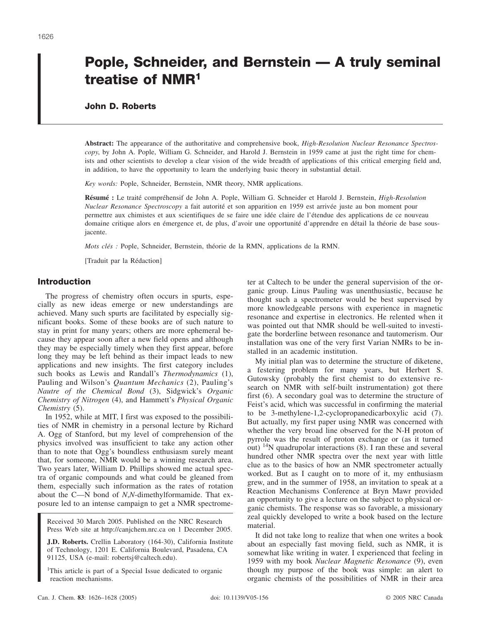## **Pople, Schneider, and Bernstein — A truly seminal treatise of NMR1**

## **John D. Roberts**

**Abstract:** The appearance of the authoritative and comprehensive book, *High-Resolution Nuclear Resonance Spectroscopy*, by John A. Pople, William G. Schneider, and Harold J. Bernstein in 1959 came at just the right time for chemists and other scientists to develop a clear vision of the wide breadth of applications of this critical emerging field and, in addition, to have the opportunity to learn the underlying basic theory in substantial detail.

*Key words:* Pople, Schneider, Bernstein, NMR theory, NMR applications.

**Résumé :** Le traité compréhensif de John A. Pople, William G. Schneider et Harold J. Bernstein, *High-Resolution Nuclear Resonance Spectroscopy* a fait autorité et son apparition en 1959 est arrivée juste au bon moment pour permettre aux chimistes et aux scientifiques de se faire une idée claire de l'étendue des applications de ce nouveau domaine critique alors en émergence et, de plus, d'avoir une opportunité d'apprendre en détail la théorie de base sousjacente.

*Mots clés :* Pople, Schneider, Bernstein, théorie de la RMN, applications de la RMN.

[Traduit par la Rédaction]

## **Introduction**

The progress of chemistry often occurs in spurts, especially as new ideas emerge or new understandings are achieved. Many such spurts are facilitated by especially significant books. Some of these books are of such nature to stay in print for many years; others are more ephemeral because they appear soon after a new field opens and although they may be especially timely when they first appear, before long they may be left behind as their impact leads to new applications and new insights. The first category includes such books as Lewis and Randall's *Thermodynamics* (1), Pauling and Wilson's *Quantum Mechanics* (2), Pauling's *Nautre of the Chemical Bond* (3), Sidgwick's *Organic Chemistry of Nitrogen* (4), and Hammett's *Physical Organic Chemistry* (5).

In 1952, while at MIT, I first was exposed to the possibilities of NMR in chemistry in a personal lecture by Richard A. Ogg of Stanford, but my level of comprehension of the physics involved was insufficient to take any action other than to note that Ogg's boundless enthusiasm surely meant that, for someone, NMR would be a winning research area. Two years later, William D. Phillips showed me actual spectra of organic compounds and what could be gleaned from them, especially such information as the rates of rotation about the C—N bond of *N*,*N*-dimethylformamide. That exposure led to an intense campaign to get a NMR spectrome-

Received 30 March 2005. Published on the NRC Research Press Web site at http://canjchem.nrc.ca on 1 December 2005.

**J.D. Roberts.** Crellin Laboratory (164-30), California Institute of Technology, 1201 E. California Boulevard, Pasadena, CA 91125, USA (e-mail: robertsj@caltech.edu).

<sup>1</sup>This article is part of a Special Issue dedicated to organic reaction mechanisms.

ter at Caltech to be under the general supervision of the organic group. Linus Pauling was unenthusiastic, because he thought such a spectrometer would be best supervised by more knowledgeable persons with experience in magnetic resonance and expertise in electronics. He relented when it was pointed out that NMR should be well-suited to investigate the borderline between resonance and tautomerism. Our installation was one of the very first Varian NMRs to be installed in an academic institution.

My initial plan was to determine the structure of diketene, a festering problem for many years, but Herbert S. Gutowsky (probably the first chemist to do extensive research on NMR with self-built instrumentation) got there first (6). A secondary goal was to determine the structure of Feist's acid, which was successful in confirming the material to be 3-methylene-1,2-cyclopropanedicarboxylic acid (7). But actually, my first paper using NMR was concerned with whether the very broad line observed for the N-H proton of pyrrole was the result of proton exchange or (as it turned out)  $14N$  quadrupolar interactions (8). I ran these and several hundred other NMR spectra over the next year with little clue as to the basics of how an NMR spectrometer actually worked. But as I caught on to more of it, my enthusiasm grew, and in the summer of 1958, an invitation to speak at a Reaction Mechanisms Conference at Bryn Mawr provided an opportunity to give a lecture on the subject to physical organic chemists. The response was so favorable, a missionary zeal quickly developed to write a book based on the lecture material.

It did not take long to realize that when one writes a book about an especially fast moving field, such as NMR, it is somewhat like writing in water. I experienced that feeling in 1959 with my book *Nuclear Magnetic Resonance* (9), even though my purpose of the book was simple: an alert to organic chemists of the possibilities of NMR in their area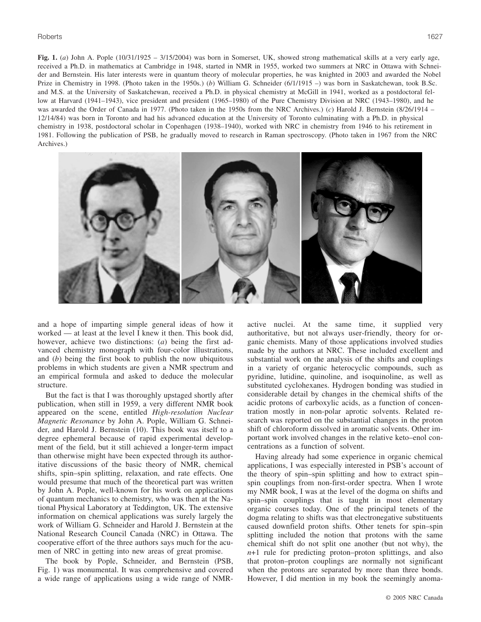**Fig. 1.** (*a*) John A. Pople (10/31/1925 – 3/15/2004) was born in Somerset, UK, showed strong mathematical skills at a very early age, received a Ph.D. in mathematics at Cambridge in 1948, started in NMR in 1955, worked two summers at NRC in Ottawa with Schneider and Bernstein. His later interests were in quantum theory of molecular properties, he was knighted in 2003 and awarded the Nobel Prize in Chemistry in 1998. (Photo taken in the 1950s.) (*b*) William G. Schneider (6/1/1915 –) was born in Saskatchewan, took B.Sc. and M.S. at the University of Saskatchewan, received a Ph.D. in physical chemistry at McGill in 1941, worked as a postdoctoral fellow at Harvard (1941–1943), vice president and president (1965–1980) of the Pure Chemistry Division at NRC (1943–1980), and he was awarded the Order of Canada in 1977. (Photo taken in the 1950s from the NRC Archives.) (*c*) Harold J. Bernstein (8/26/1914 – 12/14/84) was born in Toronto and had his advanced education at the University of Toronto culminating with a Ph.D. in physical chemistry in 1938, postdoctoral scholar in Copenhagen (1938–1940), worked with NRC in chemistry from 1946 to his retirement in 1981. Following the publication of PSB, he gradually moved to research in Raman spectroscopy. (Photo taken in 1967 from the NRC Archives.)



and a hope of imparting simple general ideas of how it worked — at least at the level I knew it then. This book did, however, achieve two distinctions: (*a*) being the first advanced chemistry monograph with four-color illustrations, and (*b*) being the first book to publish the now ubiquitous problems in which students are given a NMR spectrum and an empirical formula and asked to deduce the molecular structure.

But the fact is that I was thoroughly upstaged shortly after publication, when still in 1959, a very different NMR book appeared on the scene, entitled *High-resolution Nuclear Magnetic Resonance* by John A. Pople, William G. Schneider, and Harold J. Bernstein (10). This book was itself to a degree ephemeral because of rapid experimental development of the field, but it still achieved a longer-term impact than otherwise might have been expected through its authoritative discussions of the basic theory of NMR, chemical shifts, spin–spin splitting, relaxation, and rate effects. One would presume that much of the theoretical part was written by John A. Pople, well-known for his work on applications of quantum mechanics to chemistry, who was then at the National Physical Laboratory at Teddington, UK. The extensive information on chemical applications was surely largely the work of William G. Schneider and Harold J. Bernstein at the National Research Council Canada (NRC) in Ottawa. The cooperative effort of the three authors says much for the acumen of NRC in getting into new areas of great promise.

The book by Pople, Schneider, and Bernstein (PSB, Fig. 1) was monumental. It was comprehensive and covered a wide range of applications using a wide range of NMR- active nuclei. At the same time, it supplied very authoritative, but not always user-friendly, theory for organic chemists. Many of those applications involved studies made by the authors at NRC. These included excellent and substantial work on the analysis of the shifts and couplings in a variety of organic heterocyclic compounds, such as pyridine, lutidine, quinoline, and isoquinoline, as well as substituted cyclohexanes. Hydrogen bonding was studied in considerable detail by changes in the chemical shifts of the acidic protons of carboxylic acids, as a function of concentration mostly in non-polar aprotic solvents. Related research was reported on the substantial changes in the proton shift of chloroform dissolved in aromatic solvents. Other important work involved changes in the relative keto–enol concentrations as a function of solvent.

Having already had some experience in organic chemical applications, I was especially interested in PSB's account of the theory of spin–spin splitting and how to extract spin– spin couplings from non-first-order spectra. When I wrote my NMR book, I was at the level of the dogma on shifts and spin–spin couplings that is taught in most elementary organic courses today. One of the principal tenets of the dogma relating to shifts was that electronegative substituents caused downfield proton shifts. Other tenets for spin–spin splitting included the notion that protons with the same chemical shift do not split one another (but not why), the *n*+1 rule for predicting proton–proton splittings, and also that proton–proton couplings are normally not significant when the protons are separated by more than three bonds. However, I did mention in my book the seemingly anoma